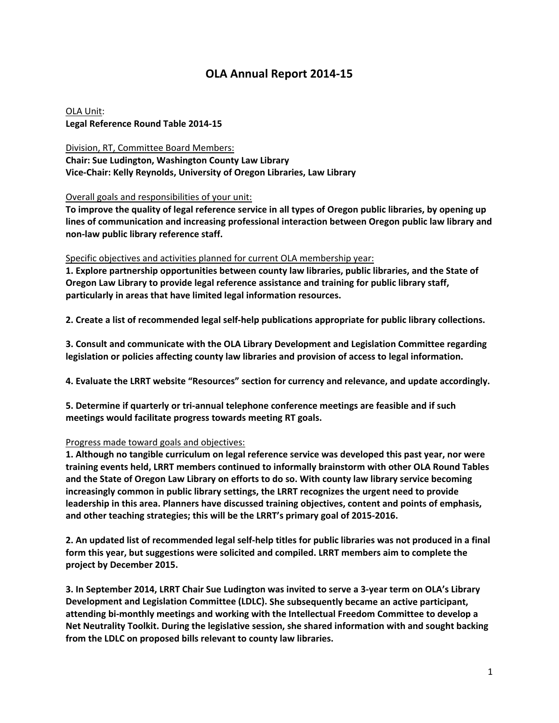# **OLA Annual Report 2014‐15**

OLA Unit: **Legal Reference Round Table 2014‐15**

### Division, RT, Committee Board Members:

**Chair: Sue Ludington, Washington County Law Library Vice‐Chair: Kelly Reynolds, University of Oregon Libraries, Law Library**

Overall goals and responsibilities of your unit:

To improve the quality of legal reference service in all types of Oregon public libraries, by opening up **lines of communication and increasing professional interaction between Oregon public law library and non‐law public library reference staff.**

#### Specific objectives and activities planned for current OLA membership year:

**1. Explore partnership opportunities between county law libraries, public libraries, and the State of Oregon Law Library to provide legal reference assistance and training for public library staff, particularly in areas that have limited legal information resources.**

**2. Create a list of recommended legal self‐help publications appropriate for public library collections.**

**3. Consult and communicate with the OLA Library Development and Legislation Committee regarding legislation or policies affecting county law libraries and provision of access to legal information.**

**4. Evaluate the LRRT website "Resources" section for currency and relevance, and update accordingly.**

**5. Determine if quarterly or tri‐annual telephone conference meetings are feasible and if such meetings would facilitate progress towards meeting RT goals.**

## Progress made toward goals and objectives:

**1. Although no tangible curriculum on legal reference service was developed this past year, nor were training events held, LRRT members continued to informally brainstorm with other OLA Round Tables and the State of Oregon Law Library on efforts to do so. With county law library service becoming increasingly common in public library settings, the LRRT recognizes the urgent need to provide leadership in this area. Planners have discussed training objectives, content and points of emphasis, and other teaching strategies; this will be the LRRT's primary goal of 2015‐2016.**

2. An updated list of recommended legal self-help titles for public libraries was not produced in a final **form this year, but suggestions were solicited and compiled. LRRT members aim to complete the project by December 2015.**

3. In September 2014, LRRT Chair Sue Ludington was invited to serve a 3-year term on OLA's Library **Development and Legislation Committee (LDLC). She subsequently became an active participant, attending bi‐monthly meetings and working with the Intellectual Freedom Committee to develop a Net Neutrality Toolkit. During the legislative session, she shared information with and sought backing from the LDLC on proposed bills relevant to county law libraries.**